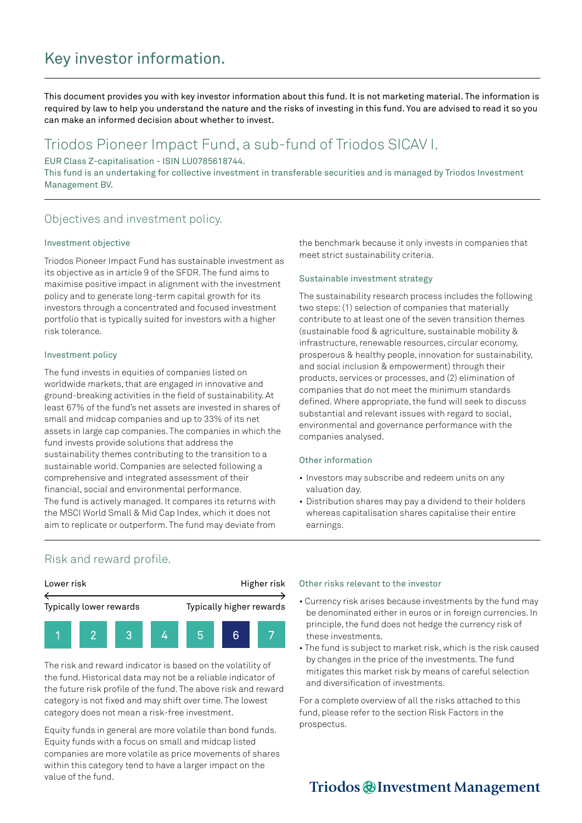# Key investor information.

This document provides you with key investor information about this fund. It is not marketing material. The information is required by law to help you understand the nature and the risks of investing in this fund. You are advised to read it so you can make an informed decision about whether to invest.

# Triodos Pioneer Impact Fund, a sub-fund of Triodos SICAV I.

EUR Class Z-capitalisation - ISIN LU0785618744.

This fund is an undertaking for collective investment in transferable securities and is managed by Triodos Investment Management BV.

## Objectives and investment policy.

## Investment objective

Triodos Pioneer Impact Fund has sustainable investment as its objective as in article 9 of the SFDR. The fund aims to maximise positive impact in alignment with the investment policy and to generate long-term capital growth for its investors through a concentrated and focused investment portfolio that is typically suited for investors with a higher risk tolerance.

## Investment policy

The fund invests in equities of companies listed on worldwide markets, that are engaged in innovative and ground-breaking activities in the field of sustainability. At least 67% of the fund's net assets are invested in shares of small and midcap companies and up to 33% of its net assets in large cap companies. The companies in which the fund invests provide solutions that address the sustainability themes contributing to the transition to a sustainable world. Companies are selected following a comprehensive and integrated assessment of their financial, social and environmental performance. The fund is actively managed. It compares its returns with the MSCI World Small & Mid Cap Index, which it does not aim to replicate or outperform. The fund may deviate from

the benchmark because it only invests in companies that meet strict sustainability criteria.

## Sustainable investment strategy

The sustainability research process includes the following two steps: (1) selection of companies that materially contribute to at least one of the seven transition themes (sustainable food & agriculture, sustainable mobility & infrastructure, renewable resources, circular economy, prosperous & healthy people, innovation for sustainability, and social inclusion & empowerment) through their products, services or processes, and (2) elimination of companies that do not meet the minimum standards defined. Where appropriate, the fund will seek to discuss substantial and relevant issues with regard to social, environmental and governance performance with the companies analysed.

#### Other information

- Investors may subscribe and redeem units on any valuation day.
- Distribution shares may pay a dividend to their holders whereas capitalisation shares capitalise their entire earnings.

## Risk and reward profile.



The risk and reward indicator is based on the volatility of the fund. Historical data may not be a reliable indicator of the future risk profile of the fund. The above risk and reward category is not fixed and may shift over time. The lowest category does not mean a risk-free investment.

Equity funds in general are more volatile than bond funds. Equity funds with a focus on small and midcap listed companies are more volatile as price movements of shares within this category tend to have a larger impact on the value of the fund.

#### Other risks relevant to the investor

- Currency risk arises because investments by the fund may be denominated either in euros or in foreign currencies. In principle, the fund does not hedge the currency risk of these investments.
- The fund is subject to market risk, which is the risk caused by changes in the price of the investments. The fund mitigates this market risk by means of careful selection and diversification of investments.

For a complete overview of all the risks attached to this fund, please refer to the section Risk Factors in the prospectus.

# Triodos @Investment Management